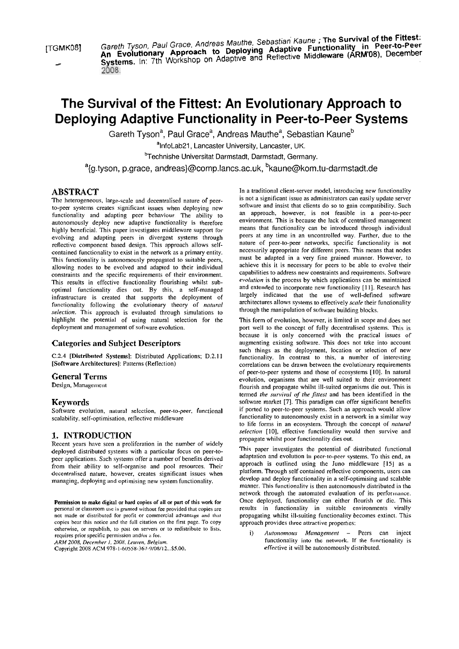[TGMK08] Gareth Tyson, Paul Grace, Andreas Mauthe, Sebastian Kaune ; **The Survival of the Fittest:** <sup>1</sup> TGMK08] Gareth Tyson, Paul Grace, Andreas Mauthe, Sebastian Kaune ; **The Survival of the Fittest:** An Evolutionary Approach to Deploying Teach Middleware (ARM'08), December<br>Systems. In: 7th Workshop on Adaptive and Reflective Middleware (ARM'08), December

# **The Survival of the Fittest: An Evolutionary Approach to Deploying Adaptive Functionality in Peer-to-Peer Systems**

Gareth Tyson<sup>a</sup>, Paul Grace<sup>a</sup>, Andreas Mauthe<sup>a</sup>, Sebastian Kaune<sup>b</sup>

<sup>a</sup>InfoLab21, Lancaster University, Lancaster, UK.

<sup>b</sup>Technishe Universitat Darmstadt, Darmstadt, Germany.

<sup>a</sup>{g.tyson, p.grace, andreas}@comp.lancs.ac.uk, <sup>b</sup>kaune@kom.tu-darmstadt.de

# **ABSTRACT**

The heterogeneous, large-scale and decentralised nature of peerto-peer systems creates significant issues when deploying new functionality and adapting peer behaviour. The ability to autonomously deploy new adaptive functionality is therefore highly beneficial. This paper investigates middleware support for evolving and adapting peers in divergent systems through reflective component based design. This approach allows selfcontained functionality to exist in the network as a primary entity. This functionality is autonomously propagaied to suitable peers, ailowing nodes to be evolved and adapied to their individual constraints and the specific requirements of their environment. This results in effective functionality flourishing whilst suboptimal functionality dies out. By this, a self-managed infrastructure is created ihat Supports the deployment of functionality following the evolutionary theory of *natural selecrion.* This approach is evaluated through simulations io highlight the potential of using natural selection for the deployment and management of software evolution.

# **Categories and Subject Descriptors**

C.2.4 [Distributed Systems]: Distributed Applications; D.2.1 1 [Software Architectures]: Patterns (Reflection)

#### **General Terms**

Design, Management

# **Keywords**

Software evolution, natural selection, peer-to-peer. functional scalability, self-optimisation, reflective middleware

# **1. INTRODUCTION**

Recent years have seen a proliferation in the number of widely deployed distributed systems with a particular focus on peer-topeer applications. Such systems offer a number of benefits derived from their ability to self-organise and pool resources. Their decentralised nature, however, creates significant issues when managing, deploying and optimising new System functionality.

personal or classroom use is granted without fee provided that copies arc copies bear this notice and the full citation on the first page. To copy<br>on the provides three attractive properties:<br>otherwise, or republish, to post on servers or to redistribute to lists.<br>i) Autonomous Management

Copyright 2008 ACM 978-1-60558-367-9/08/12... \$5.00.

In a traditional client-server model, introducing new functionality is not a significant issue as administrators can easily update server software and insist that clients do so to gain compatibility. Such an approach, however, is not feasible in a peer-to-peer environment. This is because the lack of centralised management means that funciionality can be introduced through individual peers at any time in an uncontrolled way. Further, due to the nature of peer-to-peer networks, specific functionality is not necessarily appropriate for different peers. This means that nodes must be adapted in a very fine grained manner. However, to achieve this it is necessary for peers to be able to evolve their capabilities to address new constraints and requirements. Software *evolution* is the process by which applications can be maintained and extended to incorporate new functionality [I I]. Research has largely indicated that the use of well-defined software architectures allows systems to effectively *scale* their functionality through the manipulation of software building blocks.

This form of evolution, however, is limited in scope and does not port well to the concept of fully decentralised sysiems. This is because it is only concerned with the practical issues of augmenting existing software. This does not take into account such things as the deployment, location or selection of new functionality. In contrast to this, a number of interesting correlations can be drawn between the evolutionary requirements of peer-to-peer sysiems and those of ecosysiems [IO]. In natural evolution, oganisms that are well suited to their environment flourish and propagate whilst ill-suited organisms die out. This is iermed *the survivol of rhe jirresr* and has been identified in the software market [7]. This paradigm can offer significant benefits if ported to peer-to-peer systems. Such an approach would allow functionality to autonomously exist in a network in a similar way to life forms in an ecosystem. Through the concept of *natural* selection [10], effective functionality would then survive and propagate whilst poor functionality dies out.

This paper investigates the potential of distributed functional adaptation and evolution in peer-to-peer systems. To this end, an approach is outlined using the Juno middleware [15] as a platform. Through self contained reflective components, users can develop and deploy functionality in a self-optimising and scalable manner. This functionality is then autonomously distributed in the network through the automated evaluation of its performance. Permission to make digital or hard copies of all or part of this work for Once deployed, functionality can either flourish or dic. This<br>personal or classroom use is granted without fee provided that copies are results in f not made or distributed for profit or commercial advantage and that propagating whilst ill-suiting functionality becomes extinct. This copies bear this notice and the full citation on the first page. To copy approach provi

otherwise, or republish, to post on servers or to requisitioute to fiss.<br>
requires prior specific permission and/or a fee.<br> *ARM 2008, December 1, 2008, Leuven, Belgium.*<br> *Autonomous* Management – Peers can inject<br>
functi functionality into the network. If the functionality is effective it will be autonomously distributed.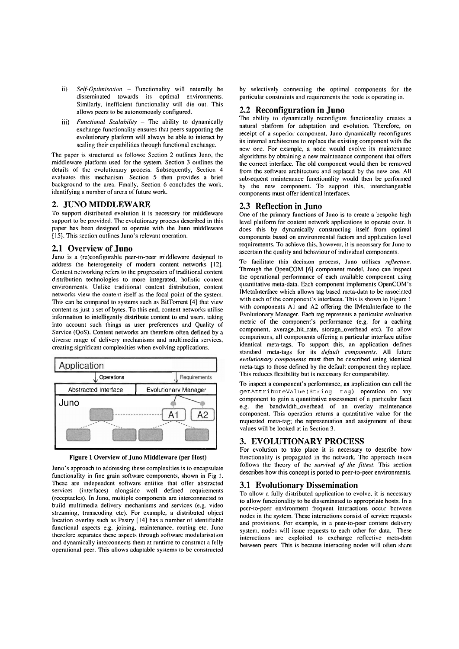- ii) Self-Optimisation Functionality will naturally be disseminated towards its optimal environments. Similarly. inefficieni functionality will die out. This allows peers to be autonomously configured.
- iii) Functional Scalability The ability to dynamically exchange functionality ensures that peers supporting the evolutionary platform will always be able to intenct by scaling their capabilities through functional exchange.

The paper is structured as follows: Section 2 outlines Juno, the middleware plaiform uscd for the system. Section **3** otitlines the details of the evolutionary process. Subsequently, Section 4 evaluates this mechanism. Section *5* then provides a brief background to the area. Finally, Section 6 concludes the work, identifying a number of areas of future work.

#### **2. JUNO MIDDLEWARE**

To support distributed evolution it is necessary for middleware support to be provided. The evolutionary process described in this paper has been designed to operate with the Juno middleware [IS]. This section outlines Juno's relevant operation.

#### **2.1 Overview of Juno**

Juno is a (re)configurable peer-to-peer middleware designed to address the heterogeneity of modern content networks [12]. Content networking refers to the progression of traditional content distribution technologies to more integrated, holistic content environments. Unlike traditional content distribution, content networks view the content itself as the focal poini of the sysiem. This can be compared to systems such as BitTorrent [4] that view content as just a set of bytes. To this end, content networks utilise information to intelligently distribute content to end users, taking inio account such things as User preferences and Quality of Service (QoS). Content networks are therefore often defined by a diverse range of delivery mechanisms and multimedia services, creating significant complexities when evolving applications.



Figure **1** Overview of Juno Middleware (per **Host)** 

Juno's approach to addressing these complexities is to encapsulate functionality in fine grain software components, shown in Fig I. These are independent software entities that offer abstracted services (interfaces) alongside well defined requiremenis (receptacles). In Juno, multiple components are interconnected to build muliimedia delivery mechanisms and services (e.g. video streaming. transcoding etc). For example, a distributed objeci location overlay such as Pastry [14] has a number of identifiable functional aspects e.g. joining. maintenance. routing etc. Juno therefore separates these aspects through software modularisation and dynamically interconnects ihem at runtime to construct a fiilly operational peer. This allows adaptable systems to be constructed

by selectively connecting the optimal components for the particular constraints and requirements the node is operating in.

#### **2.2 Reconfiguration in Juno**

The ability to dynamically reconfigure functionality creates a natural platform for adaptation and evolution. Thercforc, on receipt of a superior component, Juno dynamically reconfigures its internal architecture to replace the existing component with the new one. For example, a node would evolve its maintenance algorithms by obtaining a new maintenance component ihat offers the correct interface. The old component would then be removed from the software architecture and replaced by the new one. All subsequent maintenance functionality would then be performed by the new component. To support this, interchangeable components must offer identical interfaces.

# **2.3 Reflection in Juno**

One of the primary functions of Juno is to create a bespoke high level plaiform for content network applications to operate over. It does this by dynamically constructing itself from optimal components based on environmental factors and application level requirements. To achieve this, however, it is necessary for Juno to ascertain the quality and behaviour of individual components.

To facilitate this decision process, Juno utilises reflection. Through the OpenCOM [6] component model, Juno can inspect the operntional perfonnance of each available component using quantitative meta-data. Each component implemenis OpenCOM's IMctaInterface which allows lag based meta-data to be associated with each of the component's interfaces. This is shown in Figure I with components Al and A2 offering the IMetaInterface to the Evoluiionary Manager. Each lag represents a particular evaluative metric of the component's performance (e.g. for a caching component, average\_hit\_rate, storage\_overhead etc). To allow comparisons, all components offering a particular interface utilise identical meta-tags. To support this, an application defines standard meta-tags for its default components. All future evolutionary components must then be described using identical meta-tags to ihose defined by the default component they replace. This reduces flexibility but is necessary for comparability.

TO inspect a component's performance, an application can call the **getAttributeValue (String tag)** operation on any component to gain a quantitative assessment of a particular facet e.g. the bandwidth-overhead of an overlay maintenance component. This operation returns a quantitative value for the requested meta-tag; the representation and assignment of these values will be looked at in Section 3.

# **3. EVOLUTIONARY PROCESS**

For cvolution to take place it is necessary io describe how functionality is propagated in the network. The approach taken follows the theory of the *survival of the fittest*. This section describes how this concept is ported io peer-to-peer environmenis.

#### **3.1 Evolutionary Dissemination**

To allow a fully distributed application to evolve, it is necessary to allow functionality to be disseminated to appropriate hosi. In a peer-to-peer environment frequent interactions occur between nodes in ihe system. These interactions consist of service requests and provisions. For example, in a peer-to-peer content delivery system, nodes will issue requests to each other for data. These interactions are cxploited to exchange reflective meia-data beiween pecrs. This is because inieracting nodes will often share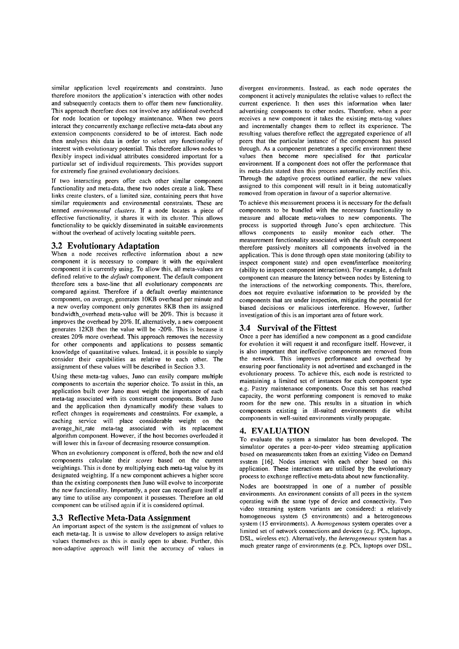similar application level requirements and constraints. Juno thcreforc monitors the application's interaction with other nodes and subsequently contacts them to offer them new functionality. This approach therefore does not involve any additional overhead for node location or topology maintenance. When two peers interact they concurrently exchange reflective meta-data about any extension components considered to be of interest. Each node then analyses this data in order to select any functionality of interest with evolutionary potential. This therefore allows nodes to flexibly inspecl individual attributes considered important for a particular set of individual requirements. This provides support for extremely fine grained evolutionary decisions.

If two interacting peers offer each other similar component functionality and meta-data, these two nodes create a link. These links create clusters, of a limited size, containing peers that have similar requirements and environmental constraints. These are termed *environmental clusters*. If a node locates a piece of effective functionality, it shares it with its cluster. This allows functionality to be quickly disseminated in suitable environments without the overhead of actively locating suitable peers.

#### **3.2 Evolutionary Adaptation**

When a node receives reflective information about a new component it is necessary to compare it with the equivalent coinponent it is currently using. To allow this, all meta-values are defined relative to the *default* component. The default component therefore sets a base-line that all evolutionary components are compared against. Therefore if a default overlay maintenance component, on average, generates IOKB overhead per minute and a new overlay component only generates 8KB then its assigned bandwidth\_overhead meta-value will be 20%. This is because it improves the overhead by 20%. If, alternatively, a new component generates 12KB then the value will be -20%. This is because it creates 20% more overhead. This approach removes the necessity for other components and applications to possess semantic knowledge of quantitative values. Instead, it is possible to simply consider their capabilities as relative to each other. The assignment of these values will be described in Section **3.3.** 

Using these meta-tag values, Juno can easily compare multiple components to ascertain the superior choice. To assist in this, an application built over Juno must weight the importance of each meta-tag associated with its constituent components. Both Juno and the application then dynamically modify these values to reflect changes in requirements and constraints. For example. a caching service will place considerable weight on the average\_hit\_rate meta-tag associated with its replacement algorithm component. However, if the host becomes overloaded it will lower this in favour of decreasing resource consumption.

When an evolutionary component is offered, both the new and old components calculate their *scores* based on the current weightings. This is done by multiplying each meta-tag value by its designated weighting. If a new component achieves a higher score than the existing components then Juno will evolve to incorporate the new functionality. Importantly, a peer can reconfigure itself at any time to utilise any component it possesses. Therefore an old component can be utilised again if it is considered optimal.

#### **3.3 Reflective Meta-Data Assignment**

An important aspect of the system is the assignment of values to each meta-tag. It is unwise to allow developers to assign relative values themselves as this is easily open to abuse. Further, this non-adaptive approach will limit the accuracy of values in divergent environments. Instead. as each node operates the component it actively manipulates the relative vaiues to reflect the current experience. It then uses this information when later advertising components to other nodes. Therefore. when a peer receives a new component it takes the existing meta-tag values and incrementally changes them to reflect its experience. The resulting values therefore reflect the aggregated experience of all peers that the particular instance of the component has passed through. As a component penetrates a specific environment these values then become more specialised for that particular environment. If a component does not offer the performance that its meta-data stated then this process automatically rectifies this. Through the adaptive process outlined earlier, the new values assigned to this component will result in it being automatically removed from operation in favour of a superior alternative.

To achieve this measurement process it is necessary for the default components to be bundled with the necessary functionality to measure and allocate meta-values to new components. The process is supported through Juno's Open architecture. This allows components to easily monitor each other. The measurement functionality associated with the default component therefore passively monitors all components involved in the application. This is done through open state monitoring (ability to inspect component state) and open event/interface monitoring (ability to inspect component interactions). For example, a default component can measure the latency between nodes by listening to the interactions of the networking components. This, therefore, does not require evaluative information to be provided by the components that are under inspection, mitigating the potential for biased decisions or malicious interference. However, further investigation of this is an important area of future work.

# **3.4 Survival of the Fittest**

Once a peer has identified a new component as a good candidate for evolution it will request it and reconfigure itself. However, it is also important that ineffective components are removed from the network. This improves performance and overhead by ensuring poor functionality is not advertised and exchanged in the evolutionary process. To achieve this, each node is restricted to maintaining a limited set of instances for each component type e.g. Pastry maintenance components. Once this Set has reached capacity, the worst performing component is removed to make room for the new one. This results in **a** situation in which components existing in ill-suited environments die whilst components in well-suited environinents virally propagate.

#### **4. EVALUATION**

To evaluate the system a simulator has been developed. The simulator operates a peer-to-peer video streaming application based on measurements taken from an existing Video on Demand based on measurements taken non an existing video on Demand<br>system [16]. Nodes interact with each other based on this application. These interactions are utilised by the evolutionary process to exchange reflective meta-data about new functionality.

Nodes are bootstrapped in one of a number of possible environments. An environment consists of all peers in the system operating with the same type of device and connectivity. Two video streaming system variants are considered: a relatively homogeneous system (5 environments) and a heterogeneous system (15 environments). A *homogenous* system operates over a limited set of network connections and devices (c.g. PCs, laptops. DSL, wireless etc). Alternatively, the *helerogeneous* system has a much greater range of environments (e.g. PCs, laptops over DSL,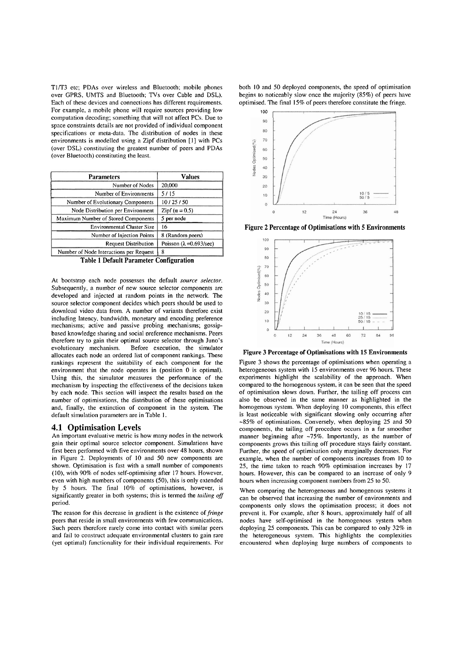T1/T3 etc; PDAs over wireless and Bluetooth; mobile phones over GPRS. UMTS and Bluetooth; TVs over Cable and DSL). Each of thesc devices and connections has diffcrent requirements. For example. a mobile phone will require sources providing low computation decoding; something that will not affect PCs. Due to space constraints details are not provided of individual component specifications or ineta-data. The distribution of nodes in these environments is modelled using a Zipf distribution [1] with PCs (over DSL) constituting the greatest number of peers and PDAs (over Bluetooth) constituting the least.

| <b>Parameters</b>                       | <b>Values</b>                          |
|-----------------------------------------|----------------------------------------|
| Number of Nodes                         | 20,000                                 |
| Number of Environments                  | 5/15                                   |
| Number of Evolutionary Components       | 10/25/50                               |
| Node Distribution per Environment       | Zipf $(\alpha = 0.5)$                  |
| Maximum Number of Stored Components     | 5 per node                             |
| Environmental Cluster Size              | 16                                     |
| Number of Injection Points              | 8 (Random peers)                       |
| <b>Request Distribution</b>             | Poisson $(\lambda = 0.693/\text{sec})$ |
| Number of Node Interactions per Request | 8                                      |
| Toble 1 Default Porometer Configuration |                                        |

Table **1** Default Parameter Configuration

At bootstrap each node possesses the default *source selector.*  Subsequently, a number of new source selector components are developed and injected at random points in the network. The source selector component decides which peers should be used to download video data from. A number of variants therefore exist including latency, bandwidth, monetary and encoding preference mechanisms; active and passive probing mechanisms; gossipbased knowledge sharing and social preference mechanisms. Peers therefore try to gain their optimal source selector through Juno's evolutionary mechanism. Before execution, the simulator Before execution, the simulator allocates each node an ordered list of component rankings. These rankings represent the suitability of each component for the environment that the node operates in (position 0 is optimal). Using this, the simulator measures the performance of the mechanism by inspecting the effectiveness of the decisions taken by each node. This section will inspect the results based on the number of optimisations, the distribution of these optimisations and, finally, the extinction of component in the system. The default simulation parameters are in Table 1.

#### **4.1 Optimisation Levels**

An important evaluative metric is how many nodes in the network gain their optimal source selector component. Simulations have first been performed with five environments over 48 hours, shown in Figure 2. Deployments of 10 and 50 new components are shown. Optimisation is fast with a small number of components (10). with 90% of nodes self-optimising after 17 hours. However, even with high numbers of components (50), this is only extended by 5 hours. The final 10% of optimisations. however. is significantly greater in both systems; this is termed the *tniling off*  period.

The reason for this decrease in gradient is the existence of *fringe* peers that reside in small environments with few communications. Such peers therefore rarely come into contact with similar peers and fail to construct adequate environmental clusters to gain rare (yet optimal) functionality for their individual requirements. For both 10 and 50 deployed components, the speed of optimisation begins to noticeably slow once the majority (85%) of peers have optimised. The final 15% of peers therefore constitute the fringe.



Figure **2** Percentage of Optimisations with 5 Environments



Figure 3 Percentage of Optimisations with 15 Environments

Figure 3 shows the percentage of optimisations when operating a heterogeneous system with 15 environments over 96 hours. These experiments highlight the scalability of the approach. When compared to the homogenous system, it can be seen that the speed of optimisation slows down. Further, the tailing off process can also be observed in the same manner as highlighted in the homogenous system. When deploying 10 components, this effect is least noticeable with significant slowing only occurring after -85% of optimisations. Conversely, when deploying 25 and 50 components, the tailing off proccdure occurs in a far smoother manner beginning after ~75%. Importantly, as the number of components grows this tailing off procedure stays fairly constant. Further. the speed of optimisation only marginally decreases. For example, when the number of components increases from 10 to 25, the time taken to reach 90% optimisation increases by 17 hours. However, this can be compared to an increase of only 9 hours when increasing component numbers from 25 to 50.

When comparing the heterogeneous and homogenous systems it can be observed that increasing the number of environments and components only slows the optimisation process; it does not prevent it. For example, after 8 hours, approximately half of all nodes have self-optimised in the homogenous system when deploying 25 components. This can be compared to only 32% in the heterogeneous system. This highlights the complexities encountered when deploying large nuinbers of components to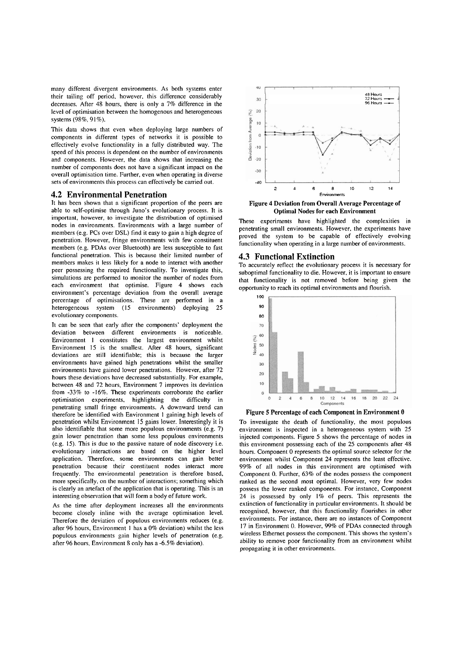many different divergent environinents. As both systems enter their tailing off period, however. this difference considerably decreases. After 48 hours, there is only a 7% difference in the level of optimisation between the homogenous and heterogeneous systems (98%, 91%).

This data shows that cven when deploying large numbers of components in different types of networks it is possible to effcctively evolve functionality in a fully distributed way. The speed of this process is dependent on the number of environments and components. However, the data shows that increasing the number of components does not have a significant impact on the overall optimisation time. Further, even when operating in diverse sets of environments this process can effectively be carried out.

#### **4.2 Environmental Penetration**

It has been shown that a significant proportion of the peers are able to self-optimise through Juno's evolutionary process. It is important, however, to investigate the distribution of optimised nodes in environments. Environments with a large number of members (e.g. PCs over DSL) find it easy to gain a high degree of penetration. However, fringe environments with few constituent members (e.g. PDAs over Bluetooth) are less susceptible to fast functional penetration. This is because their limited number of members makes it less likely for a node to interact with another peer possessing the required functionality. To investigate this, simulations are performed to monitor the number of nodes from each environment that optimise. Figure 4 shows each environment's percentage deviation from the overall average percentage of optimisations. These are performed in a heterogeneous system (15 environments) deploying 25 evolutionary components.

It can be seen that early after the components' deployment the deviation between different environments is noticeable. Environment 1 constitutes the largest environment whilst Environment 15 is the smallest. After 48 hours, significant deviations are still identifiable; this is because ihe larger environments have gained high penetrations whilst the smaller environments have gained lower penetrations. However, after 72 hours these deviations have decreased substantially. For example, between 48 and 72 hours, Environment 7 improves its deviation from  $-33\%$  to  $-16\%$ . These experiments corroborate the earlier optimisation experiments, highlighting the difficulty in penetrating small fringe environments. A downward trend can therefore be identified with Environment I gaining high levels of penetration whilst Environment 15 gains lower. Interestingly it is also identifiable that some more populous environmenis (e.g. 7) gain lower penetration than some less populous environments (e.g. 15). This is due to the passive nature of node discovery i.e. evolutionary interactions are based on the higher level application. Therefore, some environments can gain better penetration because their constituent nodes interact more frequently. The environmental penetration is therefore based, more specifically, on the number of interactions; something which is clearly an artefact of the application that is operating. This is an interesting observation that will form a body of future work.

As the time after deployment increases all the environments become closely inline with the average optimisation level. Therefore the deviation of populous environments reduces (e.g. after 96 hours. Environment I has a 0% deviation) whilst the less populous environments gain higher levels of penetration (e.g. after 96 hours. Environment 8 only has a -6.5% deviation).



**Figure 4 Deviation from Overall Average Percentage of Optimal Nodes for each Environment** 

These experiments have highlighted the complexities in penetrating small environments. However. the experiments have proved the system to be capable of effectively evolving functionality when operating in a Iarge number of environments.

#### **4.3 Functional Extinction**

To accurately reflect the evolutionary process it is necessary for suboptimal functionality to die. However, it is important to ensure that functionality is not removed before being given the opportunity to reach its optimal environments and flourish.





To investigate the death of functionality, the most populous environment is inspected in a heterogeneous system with 25 injected components. Figure 5 shows the percentage of nodes in this environment possessing each of the 25 components after 48 hours. Component 0 represents the optimal source selector for the environment whilst Component 24 represents the least effective. 99% of nll nodes in this environment are optimised with Component 0. Further, 63% of the nodes possess the component ranked as the second most optimal. However, very few nodes possess the lower ranked components. For instance, Component 24 is possessed by only 1% of peers. This represents the extinction of functionality in particular environments. 11 should be recognised, however, that this functionality flourishes in other environments. For instance, there are no instances of Component 17 in Environment 0. However, 99% of PDAs connected through wireless Ethernet possess the component. This shows the system's ability to remove poor functionality from an environment whilst propagating it in other environments.